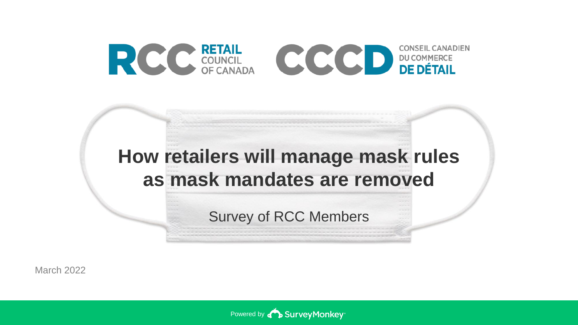

# **How retailers will manage mask rules as mask mandates are removed**

Survey of RCC Members

March 2022

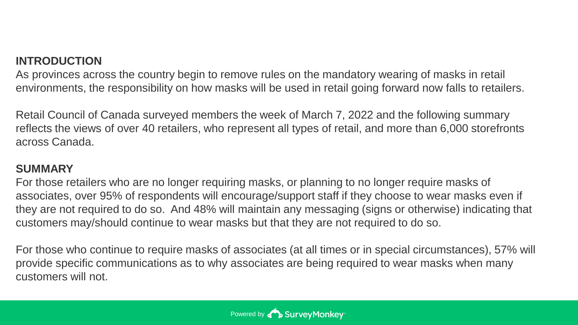#### **INTRODUCTION**

As provinces across the country begin to remove rules on the mandatory wearing of masks in retail environments, the responsibility on how masks will be used in retail going forward now falls to retailers.

Retail Council of Canada surveyed members the week of March 7, 2022 and the following summary reflects the views of over 40 retailers, who represent all types of retail, and more than 6,000 storefronts across Canada.

#### **SUMMARY**

For those retailers who are no longer requiring masks, or planning to no longer require masks of associates, over 95% of respondents will encourage/support staff if they choose to wear masks even if they are not required to do so. And 48% will maintain any messaging (signs or otherwise) indicating that customers may/should continue to wear masks but that they are not required to do so.

For those who continue to require masks of associates (at all times or in special circumstances), 57% will provide specific communications as to why associates are being required to wear masks when many customers will not.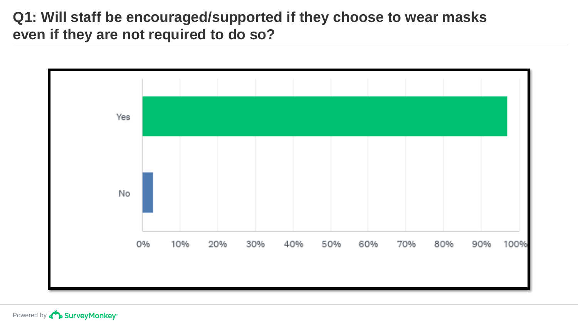#### **Q1: Will staff be encouraged/supported if they choose to wear masks even if they are not required to do so?**

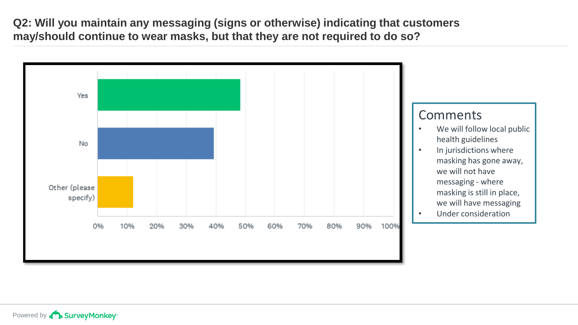**Q2: Will you maintain any messaging (signs or otherwise) indicating that customers may/should continue to wear masks, but that they are not required to do so?**

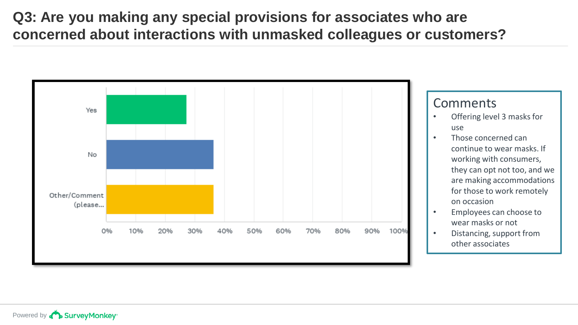## **Q3: Are you making any special provisions for associates who are concerned about interactions with unmasked colleagues or customers?**



#### Comments

- Offering level 3 masks for use
- Those concerned can continue to wear masks. If working with consumers, they can opt not too, and we are making accommodations for those to work remotely on occasion
- Employees can choose to wear masks or not
- Distancing, support from other associates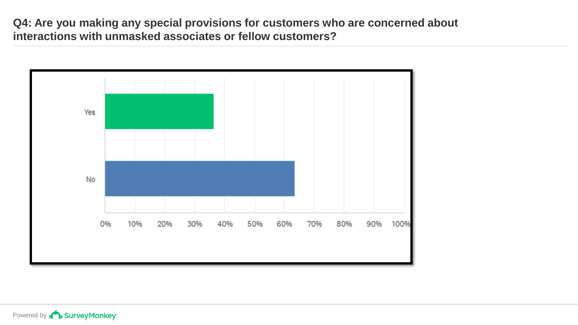**Q4: Are you making any special provisions for customers who are concerned about interactions with unmasked associates or fellow customers?**

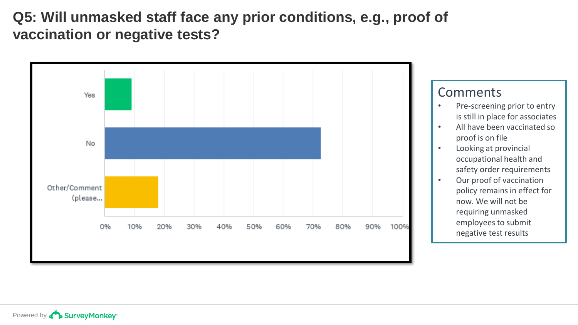### **Q5: Will unmasked staff face any prior conditions, e.g., proof of vaccination or negative tests?**

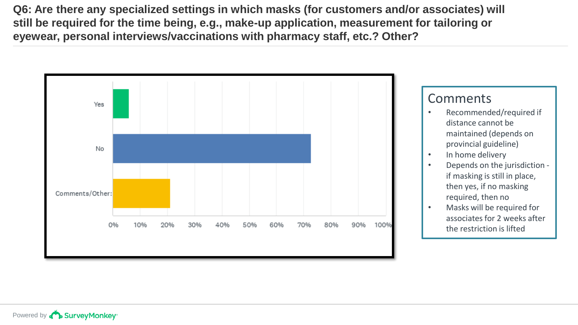**Q6: Are there any specialized settings in which masks (for customers and/or associates) will still be required for the time being, e.g., make-up application, measurement for tailoring or eyewear, personal interviews/vaccinations with pharmacy staff, etc.? Other?**

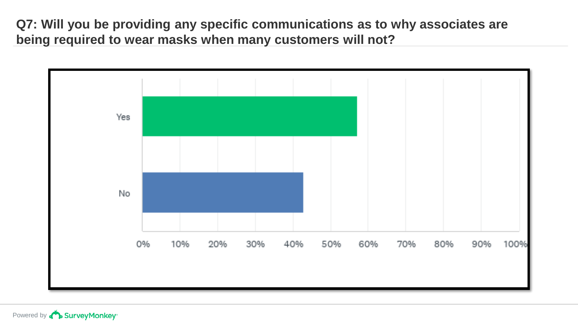**Q7: Will you be providing any specific communications as to why associates are being required to wear masks when many customers will not?**

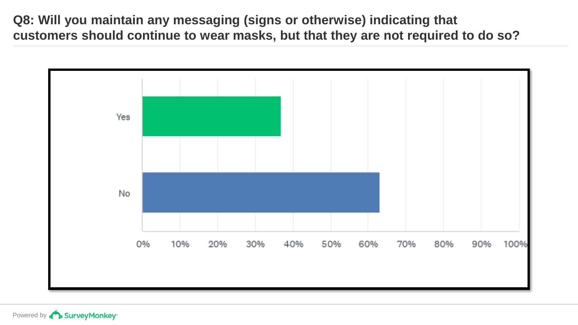**Q8: Will you maintain any messaging (signs or otherwise) indicating that customers should continue to wear masks, but that they are not required to do so?**

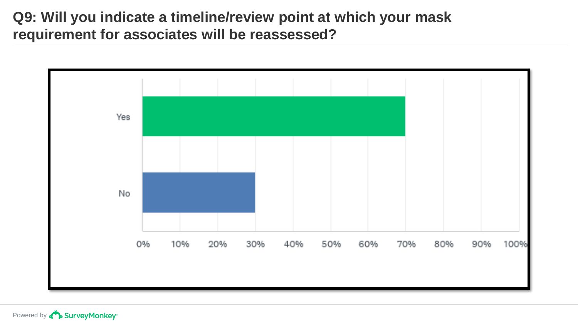#### **Q9: Will you indicate a timeline/review point at which your mask requirement for associates will be reassessed?**

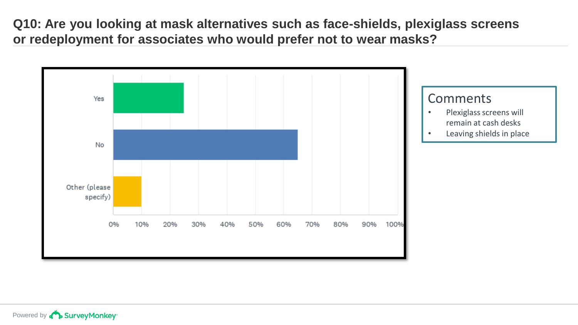**Q10: Are you looking at mask alternatives such as face-shields, plexiglass screens or redeployment for associates who would prefer not to wear masks?**

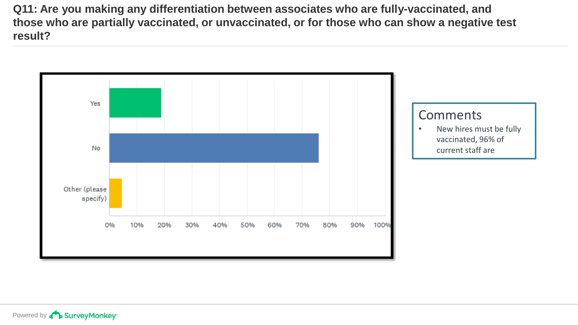**Q11: Are you making any differentiation between associates who are fully-vaccinated, and those who are partially vaccinated, or unvaccinated, or for those who can show a negative test result?**

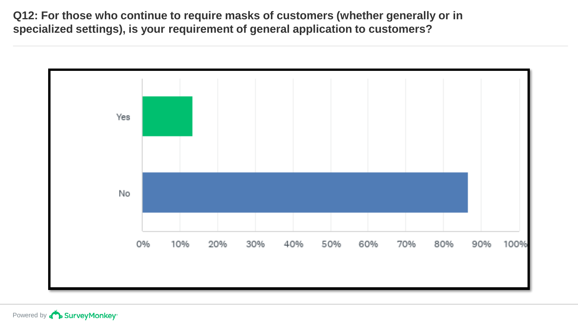**Q12: For those who continue to require masks of customers (whether generally or in specialized settings), is your requirement of general application to customers?**

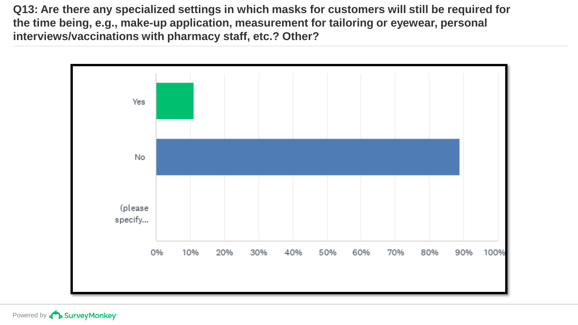**Q13: Are there any specialized settings in which masks for customers will still be required for the time being, e.g., make-up application, measurement for tailoring or eyewear, personal interviews/vaccinations with pharmacy staff, etc.? Other?**

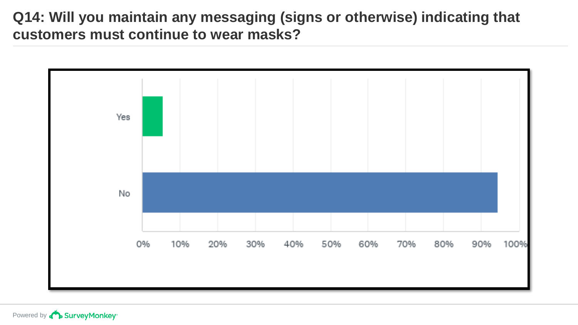#### **Q14: Will you maintain any messaging (signs or otherwise) indicating that customers must continue to wear masks?**

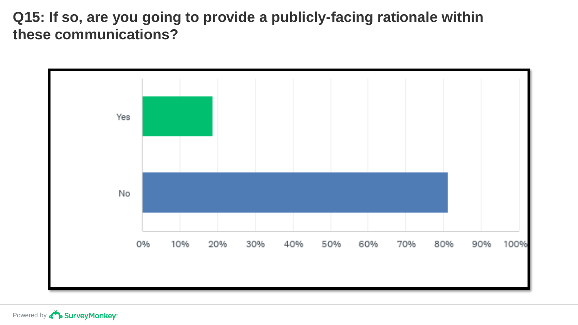### **Q15: If so, are you going to provide a publicly-facing rationale within these communications?**

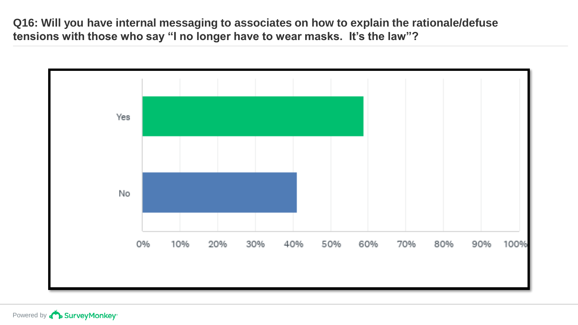**Q16: Will you have internal messaging to associates on how to explain the rationale/defuse tensions with those who say "I no longer have to wear masks. It's the law"?**

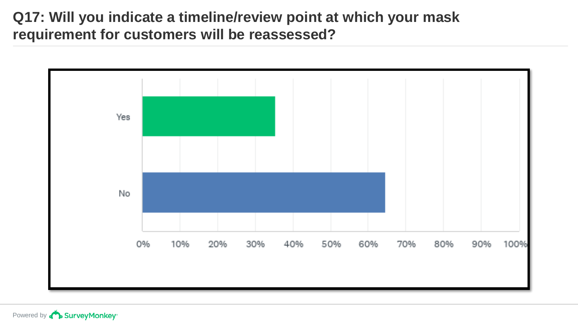#### **Q17: Will you indicate a timeline/review point at which your mask requirement for customers will be reassessed?**

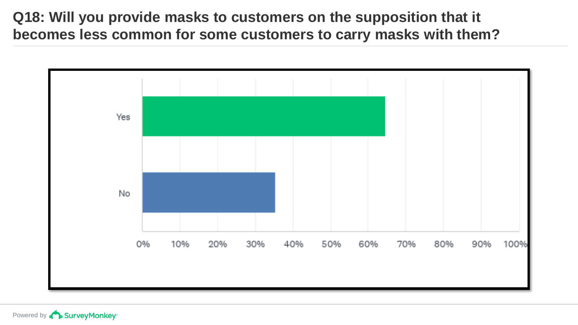**Q18: Will you provide masks to customers on the supposition that it becomes less common for some customers to carry masks with them?**

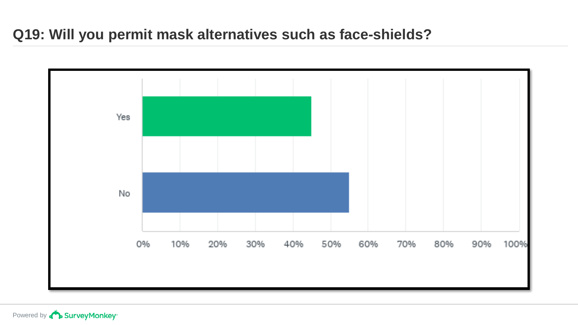## **Q19: Will you permit mask alternatives such as face-shields?**



Powered by **D** Survey Monkey